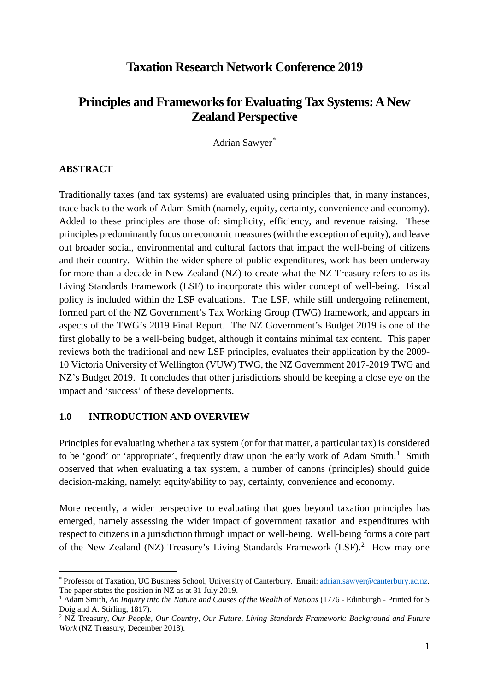## **Taxation Research Network Conference 2019**

# **Principles and Frameworks for Evaluating Tax Systems: A New Zealand Perspective**

Adrian Sawyer[\\*](#page-0-0)

#### **ABSTRACT**

Traditionally taxes (and tax systems) are evaluated using principles that, in many instances, trace back to the work of Adam Smith (namely, equity, certainty, convenience and economy). Added to these principles are those of: simplicity, efficiency, and revenue raising. These principles predominantly focus on economic measures (with the exception of equity), and leave out broader social, environmental and cultural factors that impact the well-being of citizens and their country. Within the wider sphere of public expenditures, work has been underway for more than a decade in New Zealand (NZ) to create what the NZ Treasury refers to as its Living Standards Framework (LSF) to incorporate this wider concept of well-being. Fiscal policy is included within the LSF evaluations. The LSF, while still undergoing refinement, formed part of the NZ Government's Tax Working Group (TWG) framework, and appears in aspects of the TWG's 2019 Final Report. The NZ Government's Budget 2019 is one of the first globally to be a well-being budget, although it contains minimal tax content. This paper reviews both the traditional and new LSF principles, evaluates their application by the 2009- 10 Victoria University of Wellington (VUW) TWG, the NZ Government 2017-2019 TWG and NZ's Budget 2019. It concludes that other jurisdictions should be keeping a close eye on the impact and 'success' of these developments.

#### **1.0 INTRODUCTION AND OVERVIEW**

Principles for evaluating whether a tax system (or for that matter, a particular tax) is considered to be 'good' or 'appropriate', frequently draw upon the early work of Adam Smith.<sup>[1](#page-0-1)</sup> Smith observed that when evaluating a tax system, a number of canons (principles) should guide decision-making, namely: equity/ability to pay, certainty, convenience and economy.

More recently, a wider perspective to evaluating that goes beyond taxation principles has emerged, namely assessing the wider impact of government taxation and expenditures with respect to citizens in a jurisdiction through impact on well-being. Well-being forms a core part of the New Zealand (NZ) Treasury's Living Standards Framework (LSF). [2](#page-0-2) How may one

<span id="page-0-0"></span> <sup>\*</sup> Professor of Taxation, UC Business School, University of Canterbury. Email[: adrian.sawyer@canterbury.ac.nz.](mailto:adrian.sawyer@canterbury.ac.nz) The paper states the position in NZ as at 31 July 2019.

<span id="page-0-1"></span><sup>1</sup> Adam Smith, *An Inquiry into the Nature and Causes of the Wealth of Nations* (1776 - Edinburgh - Printed for S Doig and A. Stirling, 1817).

<span id="page-0-2"></span><sup>2</sup> NZ Treasury, *Our People, Our Country, Our Future, Living Standards Framework: Background and Future Work* (NZ Treasury, December 2018).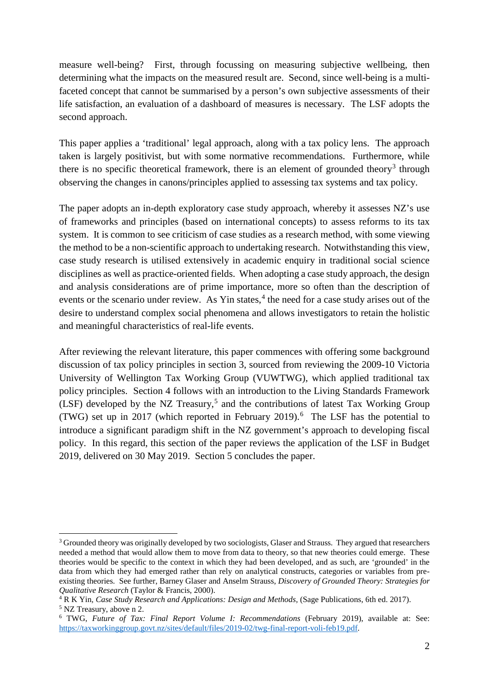measure well-being? First, through focussing on measuring subjective wellbeing, then determining what the impacts on the measured result are. Second, since well-being is a multifaceted concept that cannot be summarised by a person's own subjective assessments of their life satisfaction, an evaluation of a dashboard of measures is necessary. The LSF adopts the second approach.

This paper applies a 'traditional' legal approach, along with a tax policy lens. The approach taken is largely positivist, but with some normative recommendations. Furthermore, while there is no specific theoretical framework, there is an element of grounded theory<sup>[3](#page-1-0)</sup> through observing the changes in canons/principles applied to assessing tax systems and tax policy.

The paper adopts an in-depth exploratory case study approach, whereby it assesses NZ's use of frameworks and principles (based on international concepts) to assess reforms to its tax system. It is common to see criticism of case studies as a research method, with some viewing the method to be a non-scientific approach to undertaking research. Notwithstanding this view, case study research is utilised extensively in academic enquiry in traditional social science disciplines as well as practice-oriented fields. When adopting a case study approach, the design and analysis considerations are of prime importance, more so often than the description of events or the scenario under review. As Yin states, $4$  the need for a case study arises out of the desire to understand complex social phenomena and allows investigators to retain the holistic and meaningful characteristics of real-life events.

After reviewing the relevant literature, this paper commences with offering some background discussion of tax policy principles in section 3, sourced from reviewing the 2009-10 Victoria University of Wellington Tax Working Group (VUWTWG), which applied traditional tax policy principles. Section 4 follows with an introduction to the Living Standards Framework (LSF) developed by the NZ Treasury, [5](#page-1-2) and the contributions of latest Tax Working Group (TWG) set up in 2017 (which reported in February 2019). [6](#page-1-3) The LSF has the potential to introduce a significant paradigm shift in the NZ government's approach to developing fiscal policy. In this regard, this section of the paper reviews the application of the LSF in Budget 2019, delivered on 30 May 2019. Section 5 concludes the paper.

<span id="page-1-0"></span><sup>&</sup>lt;sup>3</sup> Grounded theory was originally developed by two sociologists, Glaser and Strauss. They argued that researchers needed a method that would allow them to move from data to theory, so that new theories could emerge. These theories would be specific to the context in which they had been developed, and as such, are 'grounded' in the data from which they had emerged rather than rely on analytical constructs, categories or variables from preexisting theories. See further, Barney Glaser and Anselm Strauss, *Discovery of Grounded Theory: Strategies for Qualitative Research* (Taylor & Francis, 2000).

<span id="page-1-1"></span><sup>4</sup> R K Yin*, Case Study Research and Applications: Design and Methods,* (Sage Publications, 6th ed. 2017). <sup>5</sup> NZ Treasury, above n 2.

<span id="page-1-3"></span><span id="page-1-2"></span><sup>6</sup> TWG, *Future of Tax: Final Report Volume I: Recommendations* (February 2019), available at: See: [https://taxworkinggroup.govt.nz/sites/default/files/2019-02/twg-final-report-voli-feb19.pdf.](https://taxworkinggroup.govt.nz/sites/default/files/2019-02/twg-final-report-voli-feb19.pdf)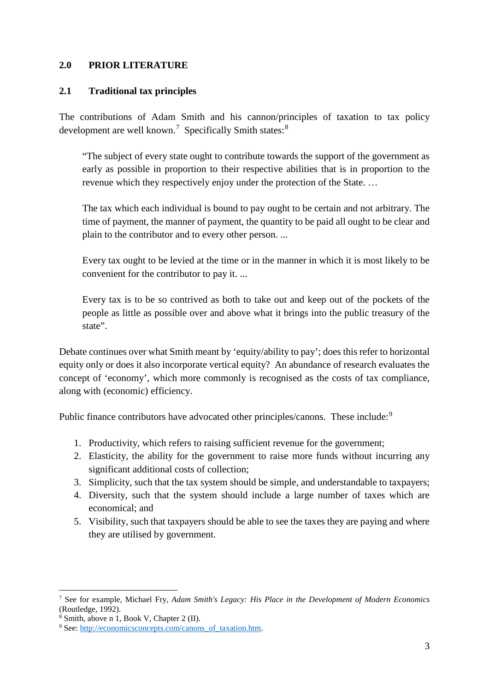### **2.0 PRIOR LITERATURE**

### **2.1 Traditional tax principles**

The contributions of Adam Smith and his cannon/principles of taxation to tax policy development are well known.<sup>[7](#page-2-0)</sup> Specifically Smith states:<sup>[8](#page-2-1)</sup>

"The subject of every state ought to contribute towards the support of the government as early as possible in proportion to their respective abilities that is in proportion to the revenue which they respectively enjoy under the protection of the State. …

The tax which each individual is bound to pay ought to be certain and not arbitrary. The time of payment, the manner of payment, the quantity to be paid all ought to be clear and plain to the contributor and to every other person. ...

Every tax ought to be levied at the time or in the manner in which it is most likely to be convenient for the contributor to pay it. ...

Every tax is to be so contrived as both to take out and keep out of the pockets of the people as little as possible over and above what it brings into the public treasury of the state".

Debate continues over what Smith meant by 'equity/ability to pay'; does this refer to horizontal equity only or does it also incorporate vertical equity? An abundance of research evaluates the concept of 'economy', which more commonly is recognised as the costs of tax compliance, along with (economic) efficiency.

Public finance contributors have advocated other principles/canons. These include:<sup>[9](#page-2-2)</sup>

- 1. Productivity, which refers to raising sufficient revenue for the government;
- 2. Elasticity, the ability for the government to raise more funds without incurring any significant additional costs of collection;
- 3. Simplicity, such that the tax system should be simple, and understandable to taxpayers;
- 4. Diversity, such that the system should include a large number of taxes which are economical; and
- 5. Visibility, such that taxpayers should be able to see the taxes they are paying and where they are utilised by government.

<span id="page-2-0"></span> <sup>7</sup> See for example, Michael Fry, *Adam Smith's Legacy: His Place in the Development of Modern Economics* (Routledge, 1992).

<span id="page-2-1"></span><sup>8</sup> Smith, above n 1, Book V, Chapter 2 (II).

<span id="page-2-2"></span><sup>&</sup>lt;sup>9</sup> See: [http://economicsconcepts.com/canons\\_of\\_taxation.htm.](http://economicsconcepts.com/canons_of_taxation.htm)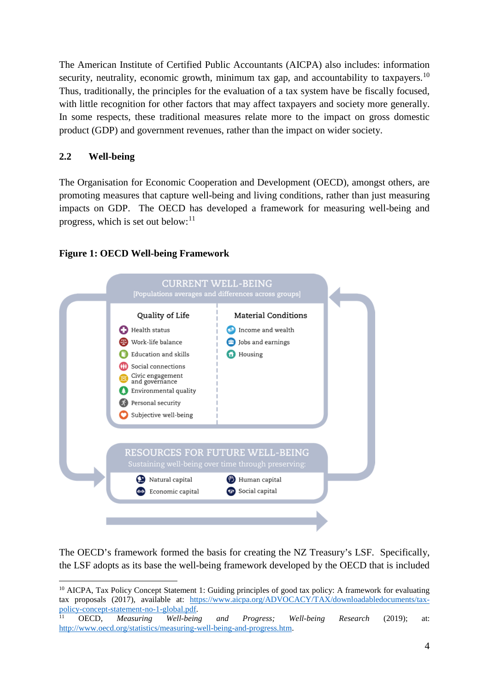The American Institute of Certified Public Accountants (AICPA) also includes: information security, neutrality, economic growth, minimum tax gap, and accountability to taxpayers.<sup>[10](#page-3-0)</sup> Thus, traditionally, the principles for the evaluation of a tax system have be fiscally focused, with little recognition for other factors that may affect taxpayers and society more generally. In some respects, these traditional measures relate more to the impact on gross domestic product (GDP) and government revenues, rather than the impact on wider society.

### **2.2 Well-being**

The Organisation for Economic Cooperation and Development (OECD), amongst others, are promoting measures that capture well-being and living conditions, rather than just measuring impacts on GDP. The OECD has developed a framework for measuring well-being and progress, which is set out below: $11$ 

### **Figure 1: OECD Well-being Framework**



The OECD's framework formed the basis for creating the NZ Treasury's LSF. Specifically, the LSF adopts as its base the well-being framework developed by the OECD that is included

<span id="page-3-0"></span> <sup>10</sup> AICPA, Tax Policy Concept Statement 1: Guiding principles of good tax policy: A framework for evaluating tax proposals (2017), available at: [https://www.aicpa.org/ADVOCACY/TAX/downloadabledocuments/tax](https://www.aicpa.org/ADVOCACY/TAX/downloadabledocuments/tax-policy-concept-statement-no-1-global.pdf)[policy-concept-statement-no-1-global.pdf.](https://www.aicpa.org/ADVOCACY/TAX/downloadabledocuments/tax-policy-concept-statement-no-1-global.pdf) 11 OECD, *Measuring Well-being and Progress; Well-being Research* (2019); at:

<span id="page-3-1"></span>[http://www.oecd.org/statistics/measuring-well-being-and-progress.htm.](http://www.oecd.org/statistics/measuring-well-being-and-progress.htm)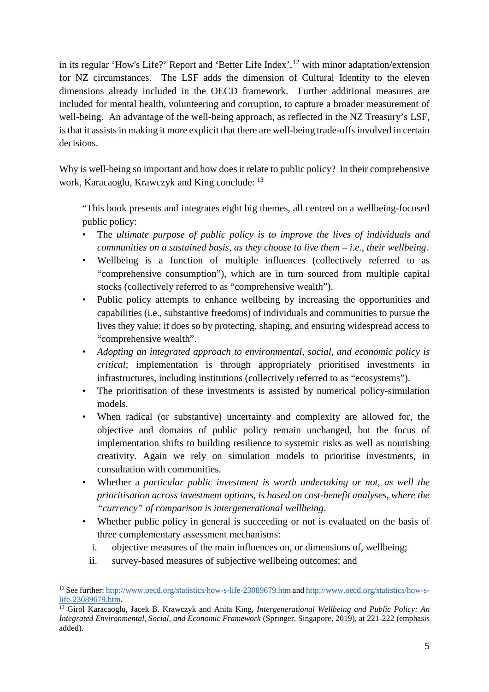in its regular 'How's Life?' Report and 'Better Life Index',<sup>[12](#page-4-0)</sup> with minor adaptation/extension for NZ circumstances. The LSF adds the dimension of Cultural Identity to the eleven dimensions already included in the OECD framework. Further additional measures are included for mental health, volunteering and corruption, to capture a broader measurement of well-being. An advantage of the well-being approach, as reflected in the NZ Treasury's LSF, is that it assists in making it more explicit that there are well-being trade-offs involved in certain decisions.

Why is well-being so important and how does it relate to public policy? In their comprehensive work, Karacaoglu, Krawczyk and King conclude: [13](#page-4-1)

"This book presents and integrates eight big themes, all centred on a wellbeing-focused public policy:

- The *ultimate purpose of public policy is to improve the lives of individuals and communities on a sustained basis, as they choose to live them – i.e., their wellbeing*.
- Wellbeing is a function of multiple influences (collectively referred to as "comprehensive consumption"), which are in turn sourced from multiple capital stocks (collectively referred to as "comprehensive wealth").
- Public policy attempts to enhance wellbeing by increasing the opportunities and capabilities (i.e., substantive freedoms) of individuals and communities to pursue the lives they value; it does so by protecting, shaping, and ensuring widespread access to "comprehensive wealth".
- *Adopting an integrated approach to environmental, social, and economic policy is critical*; implementation is through appropriately prioritised investments in infrastructures, including institutions (collectively referred to as "ecosystems").
- The prioritisation of these investments is assisted by numerical policy-simulation models.
- When radical (or substantive) uncertainty and complexity are allowed for, the objective and domains of public policy remain unchanged, but the focus of implementation shifts to building resilience to systemic risks as well as nourishing creativity. Again we rely on simulation models to prioritise investments, in consultation with communities.
- Whether a *particular public investment is worth undertaking or not, as well the prioritisation across investment options, is based on cost-benefit analyses, where the "currency" of comparison is intergenerational wellbeing*.
- Whether public policy in general is succeeding or not is evaluated on the basis of three complementary assessment mechanisms:
	- i. objective measures of the main influences on, or dimensions of, wellbeing;
	- ii. survey-based measures of subjective wellbeing outcomes; and

<span id="page-4-0"></span> <sup>12</sup> See further:<http://www.oecd.org/statistics/how-s-life-23089679.htm> and [http://www.oecd.org/statistics/how-s](http://www.oecd.org/statistics/how-s-life-23089679.htm)[life-23089679.htm.](http://www.oecd.org/statistics/how-s-life-23089679.htm) 13 Girol Karacaoglu, Jacek B. Krawczyk and Anita King*, Intergenerational Wellbeing and Public Policy: An* 

<span id="page-4-1"></span>*Integrated Environmental, Social, and Economic Framework* (Springer, Singapore, 2019), at 221-222 (emphasis added).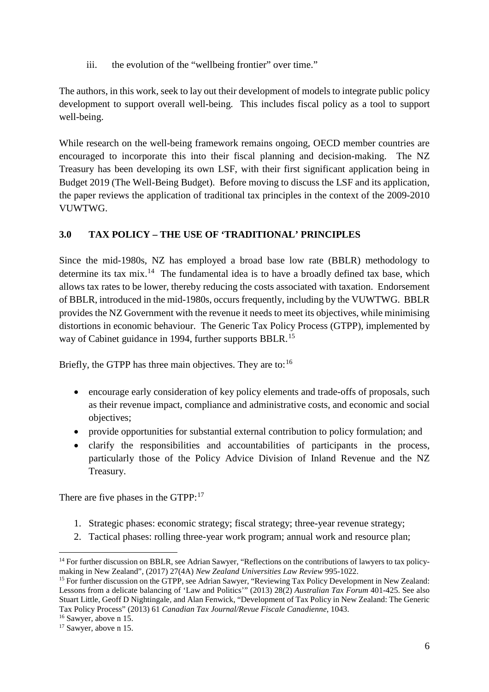iii. the evolution of the "wellbeing frontier" over time."

The authors, in this work, seek to lay out their development of models to integrate public policy development to support overall well-being. This includes fiscal policy as a tool to support well-being.

While research on the well-being framework remains ongoing, OECD member countries are encouraged to incorporate this into their fiscal planning and decision-making. The NZ Treasury has been developing its own LSF, with their first significant application being in Budget 2019 (The Well-Being Budget). Before moving to discuss the LSF and its application, the paper reviews the application of traditional tax principles in the context of the 2009-2010 VUWTWG.

## **3.0 TAX POLICY – THE USE OF 'TRADITIONAL' PRINCIPLES**

Since the mid-1980s, NZ has employed a broad base low rate (BBLR) methodology to determine its tax mix.<sup>[14](#page-5-0)</sup> The fundamental idea is to have a broadly defined tax base, which allows tax rates to be lower, thereby reducing the costs associated with taxation. Endorsement of BBLR, introduced in the mid-1980s, occurs frequently, including by the VUWTWG. BBLR provides the NZ Government with the revenue it needs to meet its objectives, while minimising distortions in economic behaviour. The Generic Tax Policy Process (GTPP), implemented by way of Cabinet guidance in 1994, further supports BBLR.<sup>[15](#page-5-1)</sup>

Briefly, the GTPP has three main objectives. They are to:<sup>[16](#page-5-2)</sup>

- encourage early consideration of key policy elements and trade-offs of proposals, such as their revenue impact, compliance and administrative costs, and economic and social objectives;
- provide opportunities for substantial external contribution to policy formulation; and
- clarify the responsibilities and accountabilities of participants in the process, particularly those of the Policy Advice Division of Inland Revenue and the NZ Treasury.

There are five phases in the GTPP:<sup>[17](#page-5-3)</sup>

- 1. Strategic phases: economic strategy; fiscal strategy; three-year revenue strategy;
- 2. Tactical phases: rolling three-year work program; annual work and resource plan;

<span id="page-5-2"></span><sup>16</sup> Sawyer, above n 15.

<span id="page-5-0"></span><sup>&</sup>lt;sup>14</sup> For further discussion on BBLR, see Adrian Sawyer, "Reflections on the contributions of lawyers to tax policymaking in New Zealand", (2017) 27(4A) *New Zealand Universities Law Review* 995-1022.

<span id="page-5-1"></span><sup>&</sup>lt;sup>15</sup> For further discussion on the GTPP, see Adrian Sawyer, "Reviewing Tax Policy Development in New Zealand: Lessons from a delicate balancing of 'Law and Politics'" (2013) 28(2) *Australian Tax Forum* 401-425. See also Stuart Little, Geoff D Nightingale, and Alan Fenwick, "Development of Tax Policy in New Zealand: The Generic Tax Policy Process" (2013) 61 *Canadian Tax Journal/Revue Fiscale Canadienne*, 1043.

<span id="page-5-3"></span><sup>&</sup>lt;sup>17</sup> Sawyer, above n 15.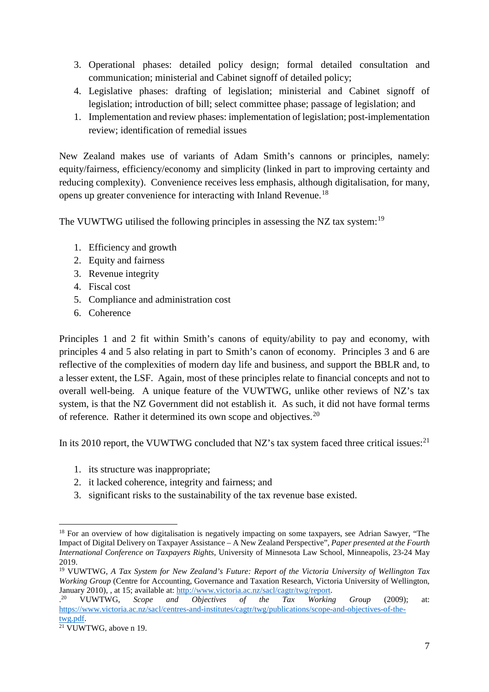- 3. Operational phases: detailed policy design; formal detailed consultation and communication; ministerial and Cabinet signoff of detailed policy;
- 4. Legislative phases: drafting of legislation; ministerial and Cabinet signoff of legislation; introduction of bill; select committee phase; passage of legislation; and
- 1. Implementation and review phases: implementation of legislation; post-implementation review; identification of remedial issues

New Zealand makes use of variants of Adam Smith's cannons or principles, namely: equity/fairness, efficiency/economy and simplicity (linked in part to improving certainty and reducing complexity). Convenience receives less emphasis, although digitalisation, for many, opens up greater convenience for interacting with Inland Revenue.[18](#page-6-0)

The VUWTWG utilised the following principles in assessing the NZ tax system:<sup>[19](#page-6-1)</sup>

- 1. Efficiency and growth
- 2. Equity and fairness
- 3. Revenue integrity
- 4. Fiscal cost
- 5. Compliance and administration cost
- 6. Coherence

Principles 1 and 2 fit within Smith's canons of equity/ability to pay and economy, with principles 4 and 5 also relating in part to Smith's canon of economy. Principles 3 and 6 are reflective of the complexities of modern day life and business, and support the BBLR and, to a lesser extent, the LSF. Again, most of these principles relate to financial concepts and not to overall well-being. A unique feature of the VUWTWG, unlike other reviews of NZ's tax system, is that the NZ Government did not establish it. As such, it did not have formal terms of reference. Rather it determined its own scope and objectives.<sup>[20](#page-6-2)</sup>

In its 2010 report, the VUWTWG concluded that NZ's tax system faced three critical issues:  $2^{11}$ 

- 1. its structure was inappropriate;
- 2. it lacked coherence, integrity and fairness; and
- 3. significant risks to the sustainability of the tax revenue base existed.

<span id="page-6-0"></span><sup>&</sup>lt;sup>18</sup> For an overview of how digitalisation is negatively impacting on some taxpayers, see Adrian Sawyer, "The Impact of Digital Delivery on Taxpayer Assistance – A New Zealand Perspective", *Paper presented at the Fourth International Conference on Taxpayers Rights*, University of Minnesota Law School, Minneapolis, 23-24 May 2019.

<span id="page-6-1"></span><sup>19</sup> VUWTWG, *A Tax System for New Zealand's Future: Report of the Victoria University of Wellington Tax Working Group* (Centre for Accounting, Governance and Taxation Research, Victoria University of Wellington, January 2010), , at 15; available at: [http://www.victoria.ac.nz/sacl/cagtr/twg/report.](http://www.victoria.ac.nz/sacl/cagtr/twg/report) 

<span id="page-6-2"></span><sup>.</sup> <sup>20</sup> VUWTWG, *Scope and Objectives of the Tax Working Group* (2009); at: [https://www.victoria.ac.nz/sacl/centres-and-institutes/cagtr/twg/publications/scope-and-objectives-of-the-](https://www.victoria.ac.nz/sacl/centres-and-institutes/cagtr/twg/publications/scope-and-objectives-of-the-twg.pdf)

<span id="page-6-3"></span>[twg.pdf.](https://www.victoria.ac.nz/sacl/centres-and-institutes/cagtr/twg/publications/scope-and-objectives-of-the-twg.pdf)<br><sup>21</sup> VUWTWG, above n 19.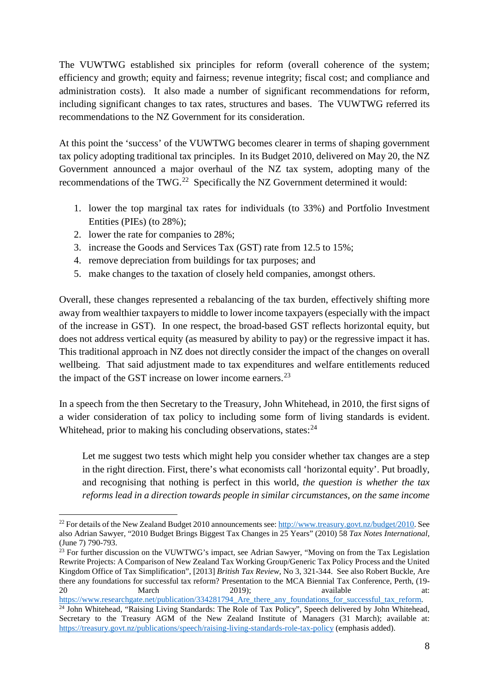The VUWTWG established six principles for reform (overall coherence of the system; efficiency and growth; equity and fairness; revenue integrity; fiscal cost; and compliance and administration costs). It also made a number of significant recommendations for reform, including significant changes to tax rates, structures and bases. The VUWTWG referred its recommendations to the NZ Government for its consideration.

At this point the 'success' of the VUWTWG becomes clearer in terms of shaping government tax policy adopting traditional tax principles. In its Budget 2010, delivered on May 20, the NZ Government announced a major overhaul of the NZ tax system, adopting many of the recommendations of the TWG.<sup>[22](#page-7-0)</sup> Specifically the NZ Government determined it would:

- 1. lower the top marginal tax rates for individuals (to 33%) and Portfolio Investment Entities (PIEs) (to 28%);
- 2. lower the rate for companies to 28%;
- 3. increase the Goods and Services Tax (GST) rate from 12.5 to 15%;
- 4. remove depreciation from buildings for tax purposes; and
- 5. make changes to the taxation of closely held companies, amongst others.

Overall, these changes represented a rebalancing of the tax burden, effectively shifting more away from wealthier taxpayers to middle to lower income taxpayers (especially with the impact of the increase in GST). In one respect, the broad-based GST reflects horizontal equity, but does not address vertical equity (as measured by ability to pay) or the regressive impact it has. This traditional approach in NZ does not directly consider the impact of the changes on overall wellbeing. That said adjustment made to tax expenditures and welfare entitlements reduced the impact of the GST increase on lower income earners.<sup>[23](#page-7-1)</sup>

In a speech from the then Secretary to the Treasury, John Whitehead, in 2010, the first signs of a wider consideration of tax policy to including some form of living standards is evident. Whitehead, prior to making his concluding observations, states:<sup>[24](#page-7-2)</sup>

Let me suggest two tests which might help you consider whether tax changes are a step in the right direction. First, there's what economists call 'horizontal equity'. Put broadly, and recognising that nothing is perfect in this world, *the question is whether the tax reforms lead in a direction towards people in similar circumstances, on the same income* 

<span id="page-7-0"></span><sup>&</sup>lt;sup>22</sup> For details of the New Zealand Budget 2010 announcements see: [http://www.treasury.govt.nz/budget/2010.](http://www.treasury.govt.nz/budget/2010) See also Adrian Sawyer, "2010 Budget Brings Biggest Tax Changes in 25 Years" (2010) 58 *Tax Notes International,* (June 7) 790-793.

<span id="page-7-1"></span><sup>&</sup>lt;sup>23</sup> For further discussion on the VUWTWG's impact, see Adrian Sawyer, "Moving on from the Tax Legislation Rewrite Projects: A Comparison of New Zealand Tax Working Group/Generic Tax Policy Process and the United Kingdom Office of Tax Simplification", [2013] *British Tax Review*, No 3, 321-344. See also Robert Buckle, Are there any foundations for successful tax reform? Presentation to the MCA Biennial Tax Conference, Perth, (19- 20 **120 March** 2019); available at:

<span id="page-7-2"></span>[https://www.researchgate.net/publication/334281794\\_Are\\_there\\_any\\_foundations\\_for\\_successful\\_tax\\_reform.](https://www.researchgate.net/publication/334281794_Are_there_any_foundations_for_successful_tax_reform) <sup>24</sup> John Whitehead, "Raising Living Standards: The Role of Tax Policy", Speech delivered by John Whitehead, Secretary to the Treasury AGM of the New Zealand Institute of Managers (31 March); available at: <https://treasury.govt.nz/publications/speech/raising-living-standards-role-tax-policy> (emphasis added).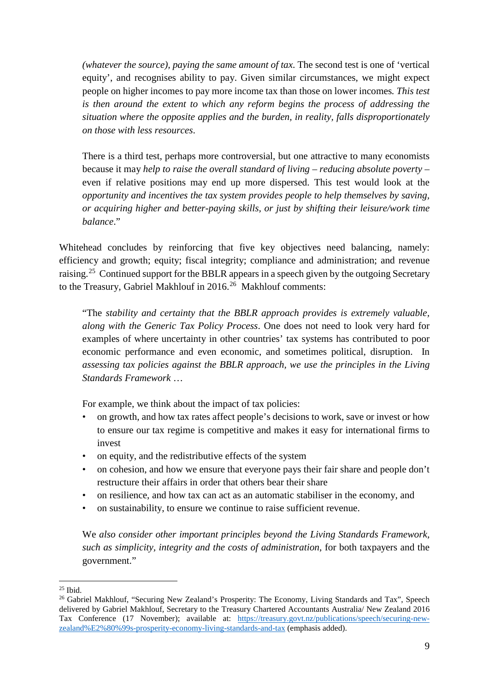*(whatever the source), paying the same amount of tax*. The second test is one of 'vertical equity', and recognises ability to pay. Given similar circumstances, we might expect people on higher incomes to pay more income tax than those on lower incomes*. This test is then around the extent to which any reform begins the process of addressing the situation where the opposite applies and the burden, in reality, falls disproportionately on those with less resources*.

There is a third test, perhaps more controversial, but one attractive to many economists because it may *help to raise the overall standard of living – reducing absolute poverty* – even if relative positions may end up more dispersed. This test would look at the *opportunity and incentives the tax system provides people to help themselves by saving, or acquiring higher and better-paying skills, or just by shifting their leisure/work time balance*."

Whitehead concludes by reinforcing that five key objectives need balancing, namely: efficiency and growth; equity; fiscal integrity; compliance and administration; and revenue raising.<sup>[25](#page-8-0)</sup> Continued support for the BBLR appears in a speech given by the outgoing Secretary to the Treasury, Gabriel Makhlouf in 2016.<sup>26</sup> Makhlouf comments:

"The *stability and certainty that the BBLR approach provides is extremely valuable, along with the Generic Tax Policy Process*. One does not need to look very hard for examples of where uncertainty in other countries' tax systems has contributed to poor economic performance and even economic, and sometimes political, disruption. In *assessing tax policies against the BBLR approach, we use the principles in the Living Standards Framework* …

For example, we think about the impact of tax policies:

- on growth, and how tax rates affect people's decisions to work, save or invest or how to ensure our tax regime is competitive and makes it easy for international firms to invest
- on equity, and the redistributive effects of the system
- on cohesion, and how we ensure that everyone pays their fair share and people don't restructure their affairs in order that others bear their share
- on resilience, and how tax can act as an automatic stabiliser in the economy, and
- on sustainability, to ensure we continue to raise sufficient revenue.

We *also consider other important principles beyond the Living Standards Framework, such as simplicity, integrity and the costs of administration*, for both taxpayers and the government."

<span id="page-8-0"></span> $25$  Ibid.

<span id="page-8-1"></span><sup>&</sup>lt;sup>26</sup> Gabriel Makhlouf, "Securing New Zealand's Prosperity: The Economy, Living Standards and Tax", Speech delivered by Gabriel Makhlouf, Secretary to the Treasury Chartered Accountants Australia/ New Zealand 2016 Tax Conference (17 November); available at: [https://treasury.govt.nz/publications/speech/securing-new](https://treasury.govt.nz/publications/speech/securing-new-zealand%E2%80%99s-prosperity-economy-living-standards-and-tax)[zealand%E2%80%99s-prosperity-economy-living-standards-and-tax](https://treasury.govt.nz/publications/speech/securing-new-zealand%E2%80%99s-prosperity-economy-living-standards-and-tax) (emphasis added).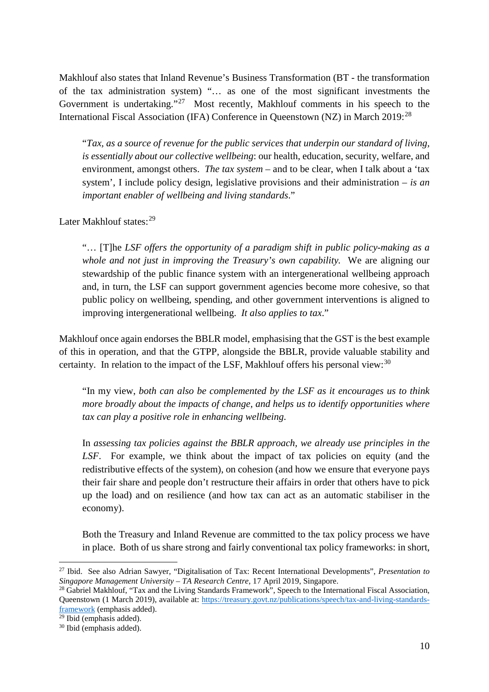Makhlouf also states that Inland Revenue's Business Transformation (BT - the transformation of the tax administration system) "… as one of the most significant investments the Government is undertaking."<sup>[27](#page-9-0)</sup> Most recently, Makhlouf comments in his speech to the International Fiscal Association (IFA) Conference in Queenstown (NZ) in March 2019:<sup>[28](#page-9-1)</sup>

"*Tax, as a source of revenue for the public services that underpin our standard of living, is essentially about our collective wellbeing*: our health, education, security, welfare, and environment, amongst others. *The tax system* – and to be clear, when I talk about a 'tax system', I include policy design, legislative provisions and their administration – *is an important enabler of wellbeing and living standards*."

Later Makhlouf states:<sup>[29](#page-9-2)</sup>

"… [T]he *LSF offers the opportunity of a paradigm shift in public policy-making as a whole and not just in improving the Treasury's own capability.* We are aligning our stewardship of the public finance system with an intergenerational wellbeing approach and, in turn, the LSF can support government agencies become more cohesive, so that public policy on wellbeing, spending, and other government interventions is aligned to improving intergenerational wellbeing. *It also applies to tax*."

Makhlouf once again endorses the BBLR model, emphasising that the GST is the best example of this in operation, and that the GTPP, alongside the BBLR, provide valuable stability and certainty. In relation to the impact of the LSF, Makhlouf offers his personal view:  $30$ 

"In my view, *both can also be complemented by the LSF as it encourages us to think more broadly about the impacts of change, and helps us to identify opportunities where tax can play a positive role in enhancing wellbeing*.

In *assessing tax policies against the BBLR approach, we already use principles in the LSF*. For example, we think about the impact of tax policies on equity (and the redistributive effects of the system), on cohesion (and how we ensure that everyone pays their fair share and people don't restructure their affairs in order that others have to pick up the load) and on resilience (and how tax can act as an automatic stabiliser in the economy).

Both the Treasury and Inland Revenue are committed to the tax policy process we have in place. Both of us share strong and fairly conventional tax policy frameworks: in short,

<span id="page-9-0"></span> <sup>27</sup> Ibid. See also Adrian Sawyer, "Digitalisation of Tax: Recent International Developments", *Presentation to Singapore Management University – TA Research Centre*, 17 April 2019, Singapore.

<span id="page-9-1"></span><sup>&</sup>lt;sup>28</sup> Gabriel Makhlouf, "Tax and the Living Standards Framework", Speech to the International Fiscal Association, Queenstown (1 March 2019), available at: [https://treasury.govt.nz/publications/speech/tax-and-living-standards](https://treasury.govt.nz/publications/speech/tax-and-living-standards-framework)[framework](https://treasury.govt.nz/publications/speech/tax-and-living-standards-framework) (emphasis added).

<span id="page-9-2"></span><sup>29</sup> Ibid (emphasis added).

<span id="page-9-3"></span><sup>30</sup> Ibid (emphasis added).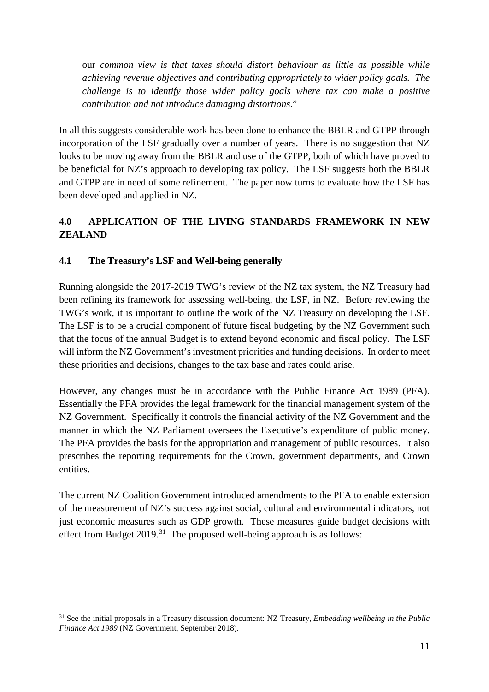our *common view is that taxes should distort behaviour as little as possible while achieving revenue objectives and contributing appropriately to wider policy goals. The challenge is to identify those wider policy goals where tax can make a positive contribution and not introduce damaging distortions*."

In all this suggests considerable work has been done to enhance the BBLR and GTPP through incorporation of the LSF gradually over a number of years. There is no suggestion that NZ looks to be moving away from the BBLR and use of the GTPP, both of which have proved to be beneficial for NZ's approach to developing tax policy. The LSF suggests both the BBLR and GTPP are in need of some refinement. The paper now turns to evaluate how the LSF has been developed and applied in NZ.

## **4.0 APPLICATION OF THE LIVING STANDARDS FRAMEWORK IN NEW ZEALAND**

## **4.1 The Treasury's LSF and Well-being generally**

Running alongside the 2017-2019 TWG's review of the NZ tax system, the NZ Treasury had been refining its framework for assessing well-being, the LSF, in NZ. Before reviewing the TWG's work, it is important to outline the work of the NZ Treasury on developing the LSF. The LSF is to be a crucial component of future fiscal budgeting by the NZ Government such that the focus of the annual Budget is to extend beyond economic and fiscal policy. The LSF will inform the NZ Government's investment priorities and funding decisions. In order to meet these priorities and decisions, changes to the tax base and rates could arise.

However, any changes must be in accordance with the Public Finance Act 1989 (PFA). Essentially the PFA provides the legal framework for the financial management system of the NZ Government. Specifically it controls the financial activity of the NZ Government and the manner in which the NZ Parliament oversees the Executive's expenditure of public money. The PFA provides the basis for the appropriation and management of public resources. It also prescribes the reporting requirements for the Crown, government departments, and Crown entities.

The current NZ Coalition Government introduced amendments to the PFA to enable extension of the measurement of NZ's success against social, cultural and environmental indicators, not just economic measures such as GDP growth. These measures guide budget decisions with effect from Budget  $2019$ .<sup>[31](#page-10-0)</sup> The proposed well-being approach is as follows:

<span id="page-10-0"></span> <sup>31</sup> See the initial proposals in a Treasury discussion document: NZ Treasury, *Embedding wellbeing in the Public Finance Act 1989* (NZ Government, September 2018).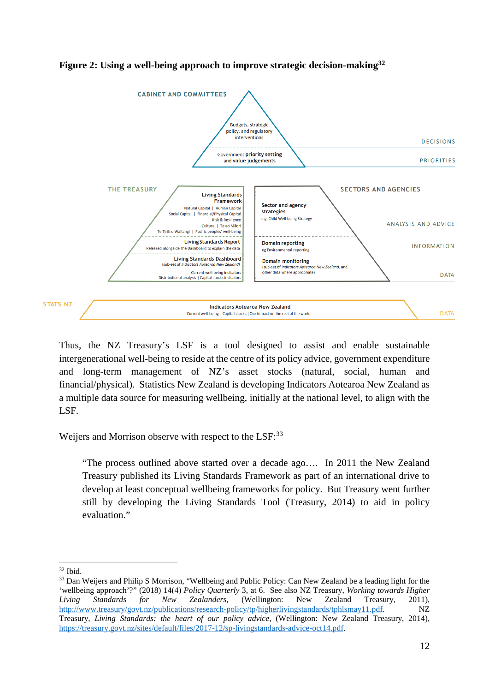

### **Figure 2: Using a well-being approach to improve strategic decision-making[32](#page-11-0)**

Thus, the NZ Treasury's LSF is a tool designed to assist and enable sustainable intergenerational well-being to reside at the centre of its policy advice, government expenditure and long-term management of NZ's asset stocks (natural, social, human and financial/physical). Statistics New Zealand is developing Indicators Aotearoa New Zealand as a multiple data source for measuring wellbeing, initially at the national level, to align with the LSF.

Weijers and Morrison observe with respect to the LSF:<sup>[33](#page-11-1)</sup>

"The process outlined above started over a decade ago…. In 2011 the New Zealand Treasury published its Living Standards Framework as part of an international drive to develop at least conceptual wellbeing frameworks for policy. But Treasury went further still by developing the Living Standards Tool (Treasury, 2014) to aid in policy evaluation."

<span id="page-11-1"></span><span id="page-11-0"></span> $32$  Ibid.<br> $33$  Dan Weijers and Philip S Morrison, "Wellbeing and Public Policy: Can New Zealand be a leading light for the 'wellbeing approach'?" (2018) 14(4) *Policy Quarterly* 3, at 6. See also NZ Treasury, *Working towards Higher Living Standards for New Zealanders*, (Wellington: New Zealand Treasury, 2011), [http://www.treasury/govt.nz/publications/research-policy/tp/higherlivingstandards/tphlsmay11.pdf.](http://www.treasury/govt.nz/publications/research-policy/tp/higherlivingstandards/tphlsmay11.pdf) NZ Treasury, *Living Standards: the heart of our policy advice*, (Wellington: New Zealand Treasury, 2014), [https://treasury.govt.nz/sites/default/files/2017-12/sp-livingstandards-advice-oct14.pdf.](https://treasury.govt.nz/sites/default/files/2017-12/sp-livingstandards-advice-oct14.pdf)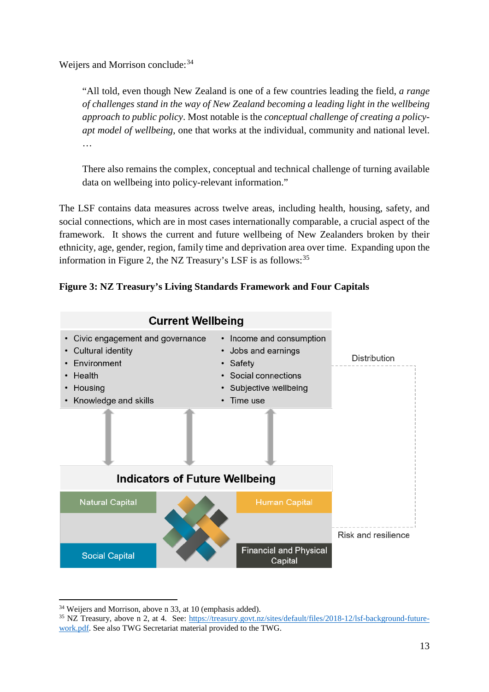Weijers and Morrison conclude: [34](#page-12-0)

"All told, even though New Zealand is one of a few countries leading the field, *a range of challenges stand in the way of New Zealand becoming a leading light in the wellbeing approach to public policy*. Most notable is the *conceptual challenge of creating a policyapt model of wellbeing*, one that works at the individual, community and national level. …

There also remains the complex, conceptual and technical challenge of turning available data on wellbeing into policy-relevant information."

The LSF contains data measures across twelve areas, including health, housing, safety, and social connections, which are in most cases internationally comparable, a crucial aspect of the framework. It shows the current and future wellbeing of New Zealanders broken by their ethnicity, age, gender, region, family time and deprivation area over time. Expanding upon the information in Figure 2, the NZ Treasury's LSF is as follows:<sup>[35](#page-12-1)</sup>





<span id="page-12-0"></span> <sup>34</sup> Weijers and Morrison, above n 33, at 10 (emphasis added).

<span id="page-12-1"></span><sup>35</sup> NZ Treasury, above n 2, at 4. See: [https://treasury.govt.nz/sites/default/files/2018-12/lsf-background-future](https://treasury.govt.nz/sites/default/files/2018-12/lsf-background-future-work.pdf)[work.pdf.](https://treasury.govt.nz/sites/default/files/2018-12/lsf-background-future-work.pdf) See also TWG Secretariat material provided to the TWG.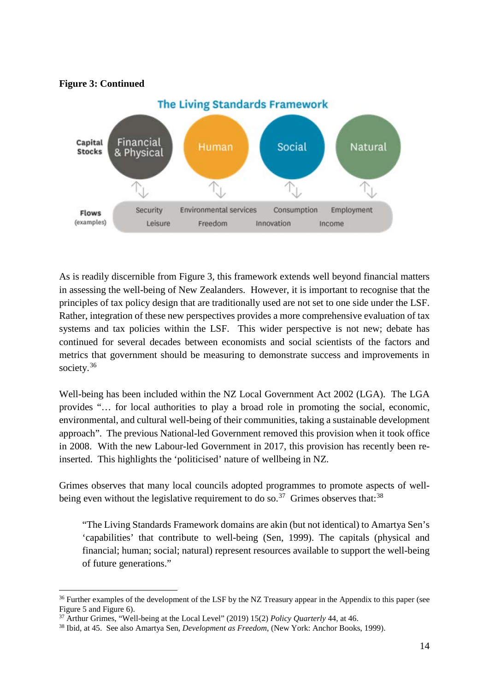**Figure 3: Continued**



As is readily discernible from Figure 3, this framework extends well beyond financial matters in assessing the well-being of New Zealanders. However, it is important to recognise that the principles of tax policy design that are traditionally used are not set to one side under the LSF. Rather, integration of these new perspectives provides a more comprehensive evaluation of tax systems and tax policies within the LSF. This wider perspective is not new; debate has continued for several decades between economists and social scientists of the factors and metrics that government should be measuring to demonstrate success and improvements in society.<sup>36</sup>

Well-being has been included within the NZ Local Government Act 2002 (LGA). The LGA provides "… for local authorities to play a broad role in promoting the social, economic, environmental, and cultural well-being of their communities, taking a sustainable development approach". The previous National-led Government removed this provision when it took office in 2008. With the new Labour-led Government in 2017, this provision has recently been reinserted. This highlights the 'politicised' nature of wellbeing in NZ.

Grimes observes that many local councils adopted programmes to promote aspects of well-being even without the legislative requirement to do so.<sup>[37](#page-13-1)</sup> Grimes observes that:<sup>[38](#page-13-2)</sup>

"The Living Standards Framework domains are akin (but not identical) to Amartya Sen's 'capabilities' that contribute to well-being (Sen, 1999). The capitals (physical and financial; human; social; natural) represent resources available to support the well-being of future generations."

<span id="page-13-0"></span><sup>&</sup>lt;sup>36</sup> Further examples of the development of the LSF by the NZ Treasury appear in the Appendix to this paper (see Figure 5 and Figure 6).

<span id="page-13-1"></span><sup>37</sup> Arthur Grimes, "Well-being at the Local Level" (2019) 15(2) *Policy Quarterly* 44, at 46.

<span id="page-13-2"></span><sup>38</sup> Ibid, at 45. See also Amartya Sen, *Development as Freedom*, (New York: Anchor Books, 1999).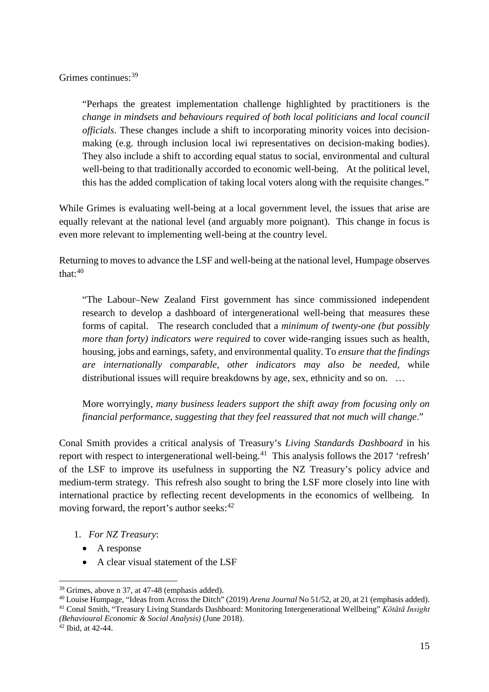Grimes continues:[39](#page-14-0)

"Perhaps the greatest implementation challenge highlighted by practitioners is the *change in mindsets and behaviours required of both local politicians and local council officials*. These changes include a shift to incorporating minority voices into decisionmaking (e.g. through inclusion local iwi representatives on decision-making bodies). They also include a shift to according equal status to social, environmental and cultural well-being to that traditionally accorded to economic well-being. At the political level, this has the added complication of taking local voters along with the requisite changes."

While Grimes is evaluating well-being at a local government level, the issues that arise are equally relevant at the national level (and arguably more poignant). This change in focus is even more relevant to implementing well-being at the country level.

Returning to moves to advance the LSF and well-being at the national level, Humpage observes that $\cdot^{40}$  $\cdot^{40}$  $\cdot^{40}$ 

"The Labour–New Zealand First government has since commissioned independent research to develop a dashboard of intergenerational well-being that measures these forms of capital. The research concluded that a *minimum of twenty-one (but possibly more than forty) indicators were required* to cover wide-ranging issues such as health, housing, jobs and earnings, safety, and environmental quality. To *ensure that the findings are internationally comparable, other indicators may also be needed*, while distributional issues will require breakdowns by age, sex, ethnicity and so on. …

More worryingly, *many business leaders support the shift away from focusing only on financial performance, suggesting that they feel reassured that not much will change*."

Conal Smith provides a critical analysis of Treasury's *Living Standards Dashboard* in his report with respect to intergenerational well-being.<sup>[41](#page-14-2)</sup> This analysis follows the 2017 'refresh' of the LSF to improve its usefulness in supporting the NZ Treasury's policy advice and medium-term strategy. This refresh also sought to bring the LSF more closely into line with international practice by reflecting recent developments in the economics of wellbeing. In moving forward, the report's author seeks: $42$ 

- 1. *For NZ Treasury*:
	- A response
	- A clear visual statement of the LSF

<span id="page-14-1"></span><span id="page-14-0"></span><sup>&</sup>lt;sup>39</sup> Grimes, above n 37, at 47-48 (emphasis added).<br><sup>40</sup> Louise Humpage, "Ideas from Across the Ditch" (2019) *Arena Journal* No 51/52, at 20, at 21 (emphasis added). <sup>41</sup> Conal Smith, "Treasury Living Standards Dashboard: Monitoring Intergenerational Wellbeing" *Kōtātā Insight* 

<span id="page-14-2"></span>*<sup>(</sup>Behavioural Economic & Social Analysis)* (June 2018). 42 Ibid, at 42-44.

<span id="page-14-3"></span>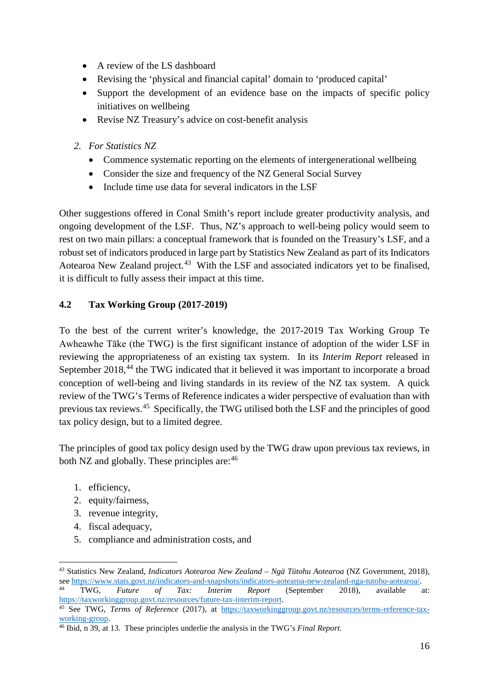- A review of the LS dashboard
- Revising the 'physical and financial capital' domain to 'produced capital'
- Support the development of an evidence base on the impacts of specific policy initiatives on wellbeing
- Revise NZ Treasury's advice on cost-benefit analysis
- *2. For Statistics NZ*
	- Commence systematic reporting on the elements of intergenerational wellbeing
	- Consider the size and frequency of the NZ General Social Survey
	- Include time use data for several indicators in the LSF

Other suggestions offered in Conal Smith's report include greater productivity analysis, and ongoing development of the LSF. Thus, NZ's approach to well-being policy would seem to rest on two main pillars: a conceptual framework that is founded on the Treasury's LSF, and a robust set of indicators produced in large part by Statistics New Zealand as part of its Indicators Aotearoa New Zealand project.<sup>43</sup> With the LSF and associated indicators yet to be finalised, it is difficult to fully assess their impact at this time.

## **4.2 Tax Working Group (2017-2019)**

To the best of the current writer's knowledge, the 2017-2019 Tax Working Group Te Awheawhe Tāke (the TWG) is the first significant instance of adoption of the wider LSF in reviewing the appropriateness of an existing tax system. In its *Interim Report* released in September 2018,<sup>[44](#page-15-1)</sup> the TWG indicated that it believed it was important to incorporate a broad conception of well-being and living standards in its review of the NZ tax system. A quick review of the TWG's Terms of Reference indicates a wider perspective of evaluation than with previous tax reviews.[45](#page-15-2) Specifically, the TWG utilised both the LSF and the principles of good tax policy design, but to a limited degree.

The principles of good tax policy design used by the TWG draw upon previous tax reviews, in both NZ and globally. These principles are:  $46$ 

- 1. efficiency,
- 2. equity/fairness,
- 3. revenue integrity,
- 4. fiscal adequacy,
- 5. compliance and administration costs, and

<span id="page-15-0"></span> <sup>43</sup> Statistics New Zealand, *Indicators Aotearoa New Zealand – Ngä Tütohu Aotearoa* (NZ Government, 2018), see [https://www.stats.govt.nz/indicators-and-snapshots/indicators-aotearoa-new-zealand-nga-tutohu-aotearoa/.](https://www.stats.govt.nz/indicators-and-snapshots/indicators-aotearoa-new-zealand-nga-tutohu-aotearoa/) 44 TWG, *Future of Tax: Interim Report* (September 2018), available at:

<span id="page-15-1"></span>[https://taxworkinggroup.govt.nz/resources/future-tax-interim-report.](https://taxworkinggroup.govt.nz/resources/future-tax-interim-report) 45 See TWG, *Terms of Reference* (2017), at [https://taxworkinggroup.govt.nz/resources/terms-reference-tax-](https://taxworkinggroup.govt.nz/resources/terms-reference-tax-working-group)

<span id="page-15-2"></span>[working-group.](https://taxworkinggroup.govt.nz/resources/terms-reference-tax-working-group) 46 Ibid, n 39, at 13. These principles underlie the analysis in the TWG's *Final Report*.

<span id="page-15-3"></span>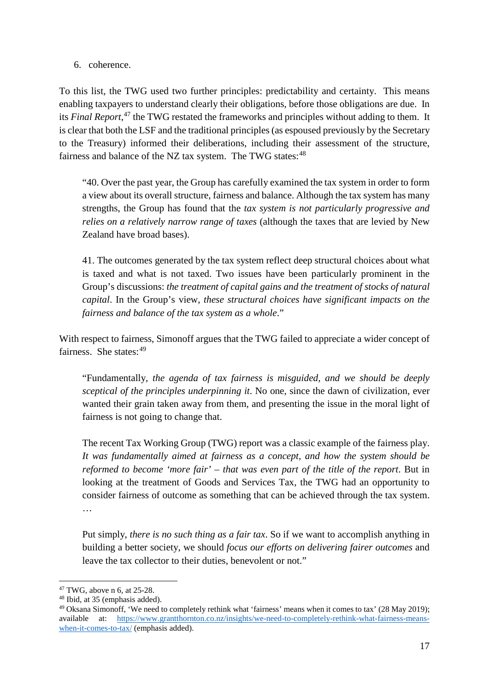6. coherence.

To this list, the TWG used two further principles: predictability and certainty. This means enabling taxpayers to understand clearly their obligations, before those obligations are due. In its *Final Report*, [47](#page-16-0) the TWG restated the frameworks and principles without adding to them. It is clear that both the LSF and the traditional principles (as espoused previously by the Secretary to the Treasury) informed their deliberations, including their assessment of the structure, fairness and balance of the NZ tax system. The TWG states:<sup>[48](#page-16-1)</sup>

"40. Over the past year, the Group has carefully examined the tax system in order to form a view about its overall structure, fairness and balance. Although the tax system has many strengths, the Group has found that the *tax system is not particularly progressive and relies on a relatively narrow range of taxes* (although the taxes that are levied by New Zealand have broad bases).

41. The outcomes generated by the tax system reflect deep structural choices about what is taxed and what is not taxed. Two issues have been particularly prominent in the Group's discussions: *the treatment of capital gains and the treatment of stocks of natural capital*. In the Group's view, *these structural choices have significant impacts on the fairness and balance of the tax system as a whole*."

With respect to fairness, Simonoff argues that the TWG failed to appreciate a wider concept of fairness. She states: [49](#page-16-2)

"Fundamentally, *the agenda of tax fairness is misguided, and we should be deeply sceptical of the principles underpinning it*. No one, since the dawn of civilization, ever wanted their grain taken away from them, and presenting the issue in the moral light of fairness is not going to change that.

The recent Tax Working Group (TWG) report was a classic example of the fairness play. *It was fundamentally aimed at fairness as a concept, and how the system should be reformed to become 'more fair' – that was even part of the title of the report*. But in looking at the treatment of Goods and Services Tax, the TWG had an opportunity to consider fairness of outcome as something that can be achieved through the tax system. …

Put simply, *there is no such thing as a fair tax*. So if we want to accomplish anything in building a better society, we should *focus our efforts on delivering fairer outcomes* and leave the tax collector to their duties, benevolent or not."

<span id="page-16-0"></span><sup>&</sup>lt;sup>47</sup> TWG, above n 6, at  $25-28$ .<br><sup>48</sup> Ibid, at 35 (emphasis added).

<span id="page-16-2"></span><span id="page-16-1"></span><sup>49</sup> Oksana Simonoff, 'We need to completely rethink what 'fairness' means when it comes to tax' (28 May 2019); available at: [https://www.grantthornton.co.nz/insights/we-need-to-completely-rethink-what-fairness-means](https://www.grantthornton.co.nz/insights/we-need-to-completely-rethink-what-fairness-means-when-it-comes-to-tax/)[when-it-comes-to-tax/](https://www.grantthornton.co.nz/insights/we-need-to-completely-rethink-what-fairness-means-when-it-comes-to-tax/) (emphasis added).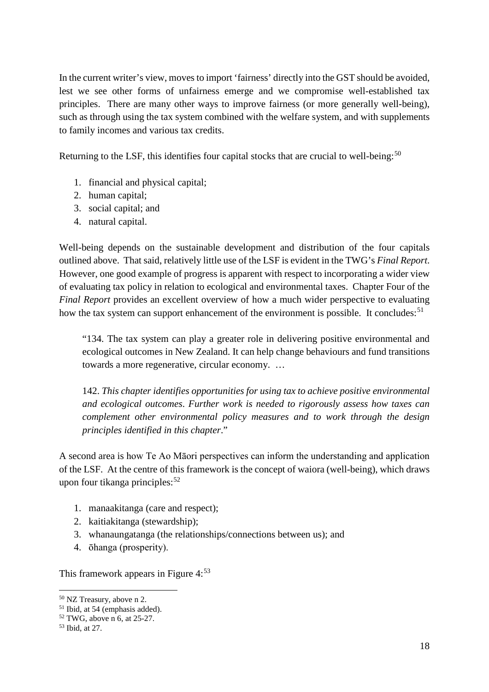In the current writer's view, moves to import 'fairness' directly into the GST should be avoided, lest we see other forms of unfairness emerge and we compromise well-established tax principles. There are many other ways to improve fairness (or more generally well-being), such as through using the tax system combined with the welfare system, and with supplements to family incomes and various tax credits.

Returning to the LSF, this identifies four capital stocks that are crucial to well-being: $50$ 

- 1. financial and physical capital;
- 2. human capital;
- 3. social capital; and
- 4. natural capital.

Well-being depends on the sustainable development and distribution of the four capitals outlined above. That said, relatively little use of the LSF is evident in the TWG's *Final Report*. However, one good example of progress is apparent with respect to incorporating a wider view of evaluating tax policy in relation to ecological and environmental taxes. Chapter Four of the *Final Report* provides an excellent overview of how a much wider perspective to evaluating how the tax system can support enhancement of the environment is possible. It concludes:<sup>[51](#page-17-1)</sup>

"134. The tax system can play a greater role in delivering positive environmental and ecological outcomes in New Zealand. It can help change behaviours and fund transitions towards a more regenerative, circular economy. …

142. *This chapter identifies opportunities for using tax to achieve positive environmental and ecological outcomes*. *Further work is needed to rigorously assess how taxes can complement other environmental policy measures and to work through the design principles identified in this chapter*."

A second area is how Te Ao Māori perspectives can inform the understanding and application of the LSF. At the centre of this framework is the concept of waiora (well-being), which draws upon four tikanga principles: $52$ 

- 1. manaakitanga (care and respect);
- 2. kaitiakitanga (stewardship);
- 3. whanaungatanga (the relationships/connections between us); and
- 4. ōhanga (prosperity).

This framework appears in Figure 4:<sup>[53](#page-17-3)</sup>

<span id="page-17-0"></span> <sup>50</sup> NZ Treasury, above n 2.

<span id="page-17-1"></span><sup>51</sup> Ibid, at 54 (emphasis added).

<span id="page-17-2"></span> $52$  TWG, above n 6, at 25-27.<br> $53$  Ibid, at 27.

<span id="page-17-3"></span>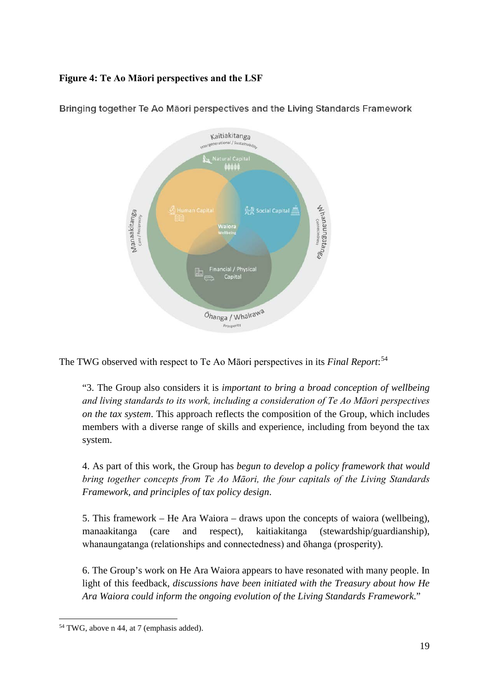### **Figure 4: Te Ao Māori perspectives and the LSF**



Bringing together Te Ao Māori perspectives and the Living Standards Framework

The TWG observed with respect to Te Ao Māori perspectives in its *Final Report*: [54](#page-18-0)

"3. The Group also considers it is *important to bring a broad conception of wellbeing and living standards to its work, including a consideration of Te Ao Māori perspectives on the tax system*. This approach reflects the composition of the Group, which includes members with a diverse range of skills and experience, including from beyond the tax system.

4. As part of this work, the Group has *begun to develop a policy framework that would bring together concepts from Te Ao Māori, the four capitals of the Living Standards Framework, and principles of tax policy design*.

5. This framework – He Ara Waiora – draws upon the concepts of waiora (wellbeing), manaakitanga (care and respect), kaitiakitanga (stewardship/guardianship), whanaungatanga (relationships and connectedness) and ōhanga (prosperity).

6. The Group's work on He Ara Waiora appears to have resonated with many people. In light of this feedback, *discussions have been initiated with the Treasury about how He Ara Waiora could inform the ongoing evolution of the Living Standards Framework*."

<span id="page-18-0"></span><sup>&</sup>lt;sup>54</sup> TWG, above n 44, at 7 (emphasis added).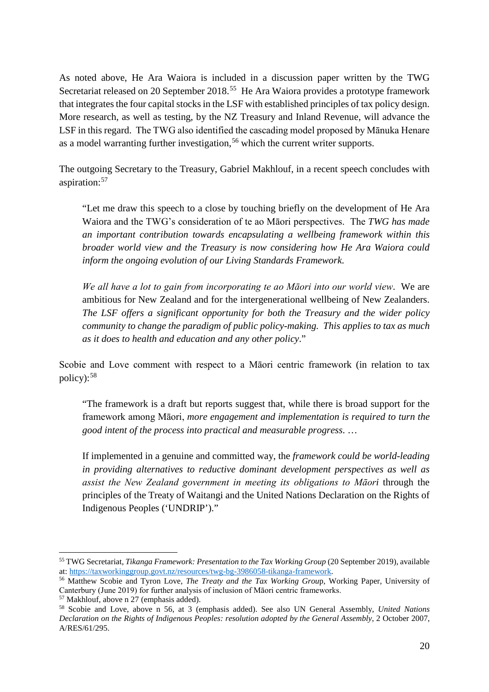As noted above, He Ara Waiora is included in a discussion paper written by the TWG Secretariat released on 20 September 2018.<sup>[55](#page-19-0)</sup> He Ara Waiora provides a prototype framework that integrates the four capital stocks in the LSF with established principles of tax policy design. More research, as well as testing, by the NZ Treasury and Inland Revenue, will advance the LSF in this regard. The TWG also identified the cascading model proposed by Mānuka Henare as a model warranting further investigation, [56](#page-19-1) which the current writer supports.

The outgoing Secretary to the Treasury, Gabriel Makhlouf, in a recent speech concludes with aspiration:[57](#page-19-2)

"Let me draw this speech to a close by touching briefly on the development of He Ara Waiora and the TWG's consideration of te ao Māori perspectives. The *TWG has made an important contribution towards encapsulating a wellbeing framework within this broader world view and the Treasury is now considering how He Ara Waiora could inform the ongoing evolution of our Living Standards Framework*.

*We all have a lot to gain from incorporating te ao Māori into our world view*. We are ambitious for New Zealand and for the intergenerational wellbeing of New Zealanders. *The LSF offers a significant opportunity for both the Treasury and the wider policy community to change the paradigm of public policy-making. This applies to tax as much as it does to health and education and any other policy*."

Scobie and Love comment with respect to a Māori centric framework (in relation to tax policy): [58](#page-19-3)

"The framework is a draft but reports suggest that, while there is broad support for the framework among Māori, *more engagement and implementation is required to turn the good intent of the process into practical and measurable progress*. …

If implemented in a genuine and committed way, the *framework could be world-leading in providing alternatives to reductive dominant development perspectives as well as assist the New Zealand government in meeting its obligations to Māori* through the principles of the Treaty of Waitangi and the United Nations Declaration on the Rights of Indigenous Peoples ('UNDRIP')."

<span id="page-19-0"></span><sup>&</sup>lt;sup>55</sup> TWG Secretariat, *Tikanga Framework: Presentation to the Tax Working Group* (20 September 2019), available at: https://taxworkinggroup.govt.nz/resources/twg-bg-3986058-tikanga-framework.

<span id="page-19-1"></span><sup>&</sup>lt;sup>56</sup> Matthew Scobie and Tyron Love, *The Treaty and the Tax Working Group*, Working Paper, University of Canterbury (June 2019) for further analysis of inclusion of Māori centric frameworks.

<span id="page-19-2"></span><sup>57</sup> Makhlouf, above n 27 (emphasis added).

<span id="page-19-3"></span><sup>58</sup> Scobie and Love, above n 56, at 3 (emphasis added). See also UN General Assembly, *United Nations Declaration on the Rights of Indigenous Peoples: resolution adopted by the General Assembly*, 2 October 2007, A/RES/61/295.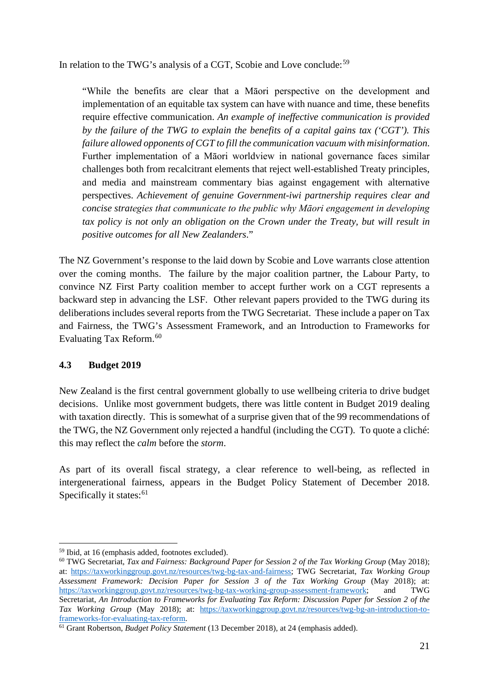In relation to the TWG's analysis of a CGT, Scobie and Love conclude:<sup>[59](#page-20-0)</sup>

"While the benefits are clear that a Māori perspective on the development and implementation of an equitable tax system can have with nuance and time, these benefits require effective communication. *An example of ineffective communication is provided by the failure of the TWG to explain the benefits of a capital gains tax ('CGT'). This failure allowed opponents of CGT to fill the communication vacuum with misinformation*. Further implementation of a Māori worldview in national governance faces similar challenges both from recalcitrant elements that reject well-established Treaty principles, and media and mainstream commentary bias against engagement with alternative perspectives. *Achievement of genuine Government-iwi partnership requires clear and concise strategies that communicate to the public why Māori engagement in developing tax policy is not only an obligation on the Crown under the Treaty, but will result in positive outcomes for all New Zealanders*."

The NZ Government's response to the laid down by Scobie and Love warrants close attention over the coming months. The failure by the major coalition partner, the Labour Party, to convince NZ First Party coalition member to accept further work on a CGT represents a backward step in advancing the LSF. Other relevant papers provided to the TWG during its deliberations includes several reports from the TWG Secretariat. These include a paper on Tax and Fairness, the TWG's Assessment Framework, and an Introduction to Frameworks for Evaluating Tax Reform.<sup>60</sup>

## **4.3 Budget 2019**

New Zealand is the first central government globally to use wellbeing criteria to drive budget decisions. Unlike most government budgets, there was little content in Budget 2019 dealing with taxation directly. This is somewhat of a surprise given that of the 99 recommendations of the TWG, the NZ Government only rejected a handful (including the CGT). To quote a cliché: this may reflect the *calm* before the *storm*.

As part of its overall fiscal strategy, a clear reference to well-being, as reflected in intergenerational fairness, appears in the Budget Policy Statement of December 2018. Specifically it states: $61$ 

<span id="page-20-0"></span> <sup>59</sup> Ibid, at 16 (emphasis added, footnotes excluded).

<span id="page-20-1"></span><sup>&</sup>lt;sup>60</sup> TWG Secretariat, *Tax and Fairness: Background Paper for Session 2 of the Tax Working Group* (May 2018); at: [https://taxworkinggroup.govt.nz/resources/twg-bg-tax-and-fairness;](https://taxworkinggroup.govt.nz/resources/twg-bg-tax-and-fairness) TWG Secretariat, *Tax Working Group Assessment Framework: Decision Paper for Session 3 of the Tax Working Group* (May 2018); at: [https://taxworkinggroup.govt.nz/resources/twg-bg-tax-working-group-assessment-framework;](https://taxworkinggroup.govt.nz/resources/twg-bg-tax-working-group-assessment-framework) and TWG Secretariat, *An Introduction to Frameworks for Evaluating Tax Reform: Discussion Paper for Session 2 of the Tax Working Group* (May 2018); at: https://taxworkinggroup.govt.nz/resources/twg-bg-an-introduction-to-<br>frameworks-for-evaluating-tax-reform.

<span id="page-20-2"></span><sup>&</sup>lt;sup>61</sup> Grant Robertson, *Budget Policy Statement* (13 December 2018), at 24 (emphasis added).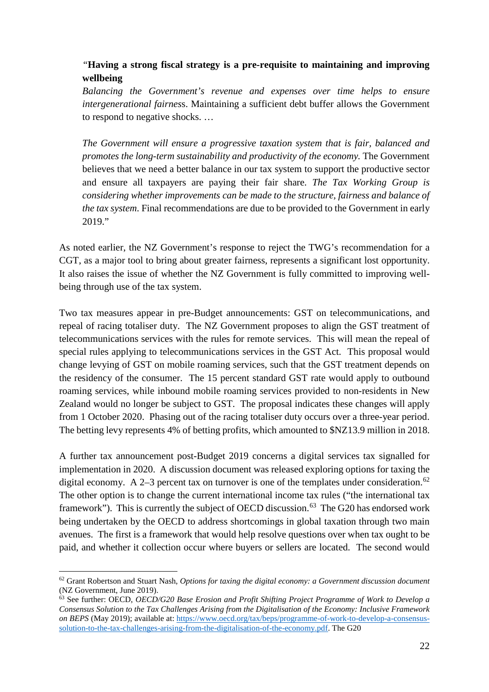## *"***Having a strong fiscal strategy is a pre-requisite to maintaining and improving wellbeing**

*Balancing the Government's revenue and expenses over time helps to ensure intergenerational fairnes*s. Maintaining a sufficient debt buffer allows the Government to respond to negative shocks. …

*The Government will ensure a progressive taxation system that is fair, balanced and promotes the long-term sustainability and productivity of the economy.* The Government believes that we need a better balance in our tax system to support the productive sector and ensure all taxpayers are paying their fair share. *The Tax Working Group is considering whether improvements can be made to the structure, fairness and balance of the tax system*. Final recommendations are due to be provided to the Government in early 2019."

As noted earlier, the NZ Government's response to reject the TWG's recommendation for a CGT, as a major tool to bring about greater fairness, represents a significant lost opportunity. It also raises the issue of whether the NZ Government is fully committed to improving wellbeing through use of the tax system.

Two tax measures appear in pre-Budget announcements: GST on telecommunications, and repeal of racing totaliser duty. The NZ Government proposes to align the GST treatment of telecommunications services with the rules for remote services. This will mean the repeal of special rules applying to telecommunications services in the GST Act. This proposal would change levying of GST on mobile roaming services, such that the GST treatment depends on the residency of the consumer. The 15 percent standard GST rate would apply to outbound roaming services, while inbound mobile roaming services provided to non-residents in New Zealand would no longer be subject to GST. The proposal indicates these changes will apply from 1 October 2020. Phasing out of the racing totaliser duty occurs over a three-year period. The betting levy represents 4% of betting profits, which amounted to \$NZ13.9 million in 2018.

A further tax announcement post-Budget 2019 concerns a digital services tax signalled for implementation in 2020. A discussion document was released exploring options for taxing the digital economy. A 2-3 percent tax on turnover is one of the templates under consideration.<sup>[62](#page-21-0)</sup> The other option is to change the current international income tax rules ("the international tax framework"). This is currently the subject of OECD discussion.<sup>[63](#page-21-1)</sup> The G20 has endorsed work being undertaken by the OECD to address shortcomings in global taxation through two main avenues. The first is a framework that would help resolve questions over when tax ought to be paid, and whether it collection occur where buyers or sellers are located. The second would

<span id="page-21-0"></span> <sup>62</sup> Grant Robertson and Stuart Nash, *Options for taxing the digital economy: a Government discussion document* (NZ Government, June 2019).

<span id="page-21-1"></span><sup>63</sup> See further: OECD, *OECD/G20 Base Erosion and Profit Shifting Project Programme of Work to Develop a Consensus Solution to the Tax Challenges Arising from the Digitalisation of the Economy: Inclusive Framework on BEPS* (May 2019); available at: [https://www.oecd.org/tax/beps/programme-of-work-to-develop-a-consensus](https://www.oecd.org/tax/beps/programme-of-work-to-develop-a-consensus-solution-to-the-tax-challenges-arising-from-the-digitalisation-of-the-economy.pdf)[solution-to-the-tax-challenges-arising-from-the-digitalisation-of-the-economy.pdf.](https://www.oecd.org/tax/beps/programme-of-work-to-develop-a-consensus-solution-to-the-tax-challenges-arising-from-the-digitalisation-of-the-economy.pdf) The G20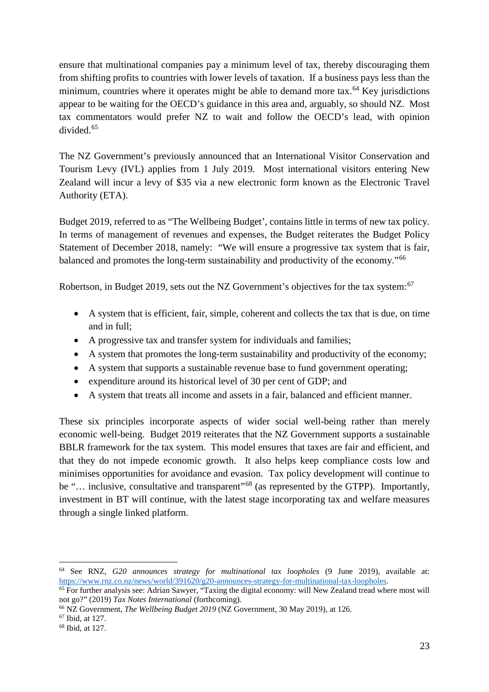ensure that multinational companies pay a minimum level of tax, thereby discouraging them from shifting profits to countries with lower levels of taxation. If a business pays less than the minimum, countries where it operates might be able to demand more tax.<sup>[64](#page-22-0)</sup> Key jurisdictions appear to be waiting for the OECD's guidance in this area and, arguably, so should NZ. Most tax commentators would prefer NZ to wait and follow the OECD's lead, with opinion divided. [65](#page-22-1)

The NZ Government's previously announced that an International Visitor Conservation and Tourism Levy (IVL) applies from 1 July 2019. Most international visitors entering New Zealand will incur a levy of \$35 via a new electronic form known as the Electronic Travel Authority (ETA).

Budget 2019, referred to as "The Wellbeing Budget', contains little in terms of new tax policy. In terms of management of revenues and expenses, the Budget reiterates the Budget Policy Statement of December 2018, namely: "We will ensure a progressive tax system that is fair, balanced and promotes the long-term sustainability and productivity of the economy."[66](#page-22-2)

Robertson, in Budget 2019, sets out the NZ Government's objectives for the tax system:<sup>[67](#page-22-3)</sup>

- A system that is efficient, fair, simple, coherent and collects the tax that is due, on time and in full;
- A progressive tax and transfer system for individuals and families;
- A system that promotes the long-term sustainability and productivity of the economy;
- A system that supports a sustainable revenue base to fund government operating;
- expenditure around its historical level of 30 per cent of GDP; and
- A system that treats all income and assets in a fair, balanced and efficient manner.

These six principles incorporate aspects of wider social well-being rather than merely economic well-being. Budget 2019 reiterates that the NZ Government supports a sustainable BBLR framework for the tax system. This model ensures that taxes are fair and efficient, and that they do not impede economic growth. It also helps keep compliance costs low and minimises opportunities for avoidance and evasion. Tax policy development will continue to be "... inclusive, consultative and transparent"<sup>[68](#page-22-4)</sup> (as represented by the GTPP). Importantly, investment in BT will continue, with the latest stage incorporating tax and welfare measures through a single linked platform.

<span id="page-22-0"></span> <sup>64</sup> See RNZ, *G20 announces strategy for multinational tax loopholes* (9 June 2019), available at:

<span id="page-22-1"></span> $\frac{1}{65}$  For further analysis see: Adrian Sawyer, "Taxing the digital economy: will New Zealand tread where most will not go?" (2019) *Tax Notes International* (forthcoming). 66 NZ Government, *The Wellbeing Budget 2019* (NZ Government, 30 May 2019), at 126.

<span id="page-22-2"></span>

<span id="page-22-3"></span><sup>67</sup> Ibid, at 127.

<span id="page-22-4"></span><sup>68</sup> Ibid, at 127.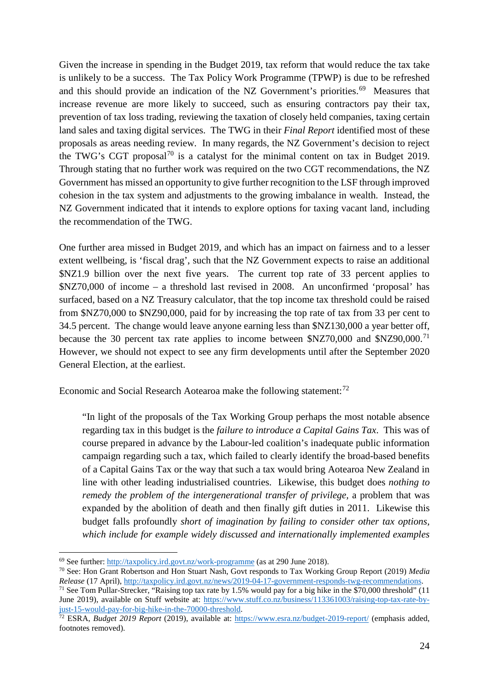Given the increase in spending in the Budget 2019, tax reform that would reduce the tax take is unlikely to be a success. The Tax Policy Work Programme (TPWP) is due to be refreshed and this should provide an indication of the NZ Government's priorities.<sup>[69](#page-23-0)</sup> Measures that increase revenue are more likely to succeed, such as ensuring contractors pay their tax, prevention of tax loss trading, reviewing the taxation of closely held companies, taxing certain land sales and taxing digital services. The TWG in their *Final Report* identified most of these proposals as areas needing review. In many regards, the NZ Government's decision to reject the TWG's CGT proposal<sup>[70](#page-23-1)</sup> is a catalyst for the minimal content on tax in Budget 2019. Through stating that no further work was required on the two CGT recommendations, the NZ Government has missed an opportunity to give further recognition to the LSF through improved cohesion in the tax system and adjustments to the growing imbalance in wealth. Instead, the NZ Government indicated that it intends to explore options for taxing vacant land, including the recommendation of the TWG.

One further area missed in Budget 2019, and which has an impact on fairness and to a lesser extent wellbeing, is 'fiscal drag', such that the NZ Government expects to raise an additional \$NZ1.9 billion over the next five years. The current top rate of 33 percent applies to \$NZ70,000 of income – a threshold last revised in 2008. An unconfirmed 'proposal' has surfaced, based on a NZ Treasury calculator, that the top income tax threshold could be raised from \$NZ70,000 to \$NZ90,000, paid for by increasing the top rate of tax from 33 per cent to 34.5 percent. The change would leave anyone earning less than \$NZ130,000 a year better off, because the 30 percent tax rate applies to income between  $NZ70,000$  and  $NZ90,000$ .<sup>[71](#page-23-2)</sup> However, we should not expect to see any firm developments until after the September 2020 General Election, at the earliest.

Economic and Social Research Aotearoa make the following statement: $^{72}$  $^{72}$  $^{72}$ 

"In light of the proposals of the Tax Working Group perhaps the most notable absence regarding tax in this budget is the *failure to introduce a Capital Gains Tax*. This was of course prepared in advance by the Labour-led coalition's inadequate public information campaign regarding such a tax, which failed to clearly identify the broad-based benefits of a Capital Gains Tax or the way that such a tax would bring Aotearoa New Zealand in line with other leading industrialised countries. Likewise, this budget does *nothing to remedy the problem of the intergenerational transfer of privilege,* a problem that was expanded by the abolition of death and then finally gift duties in 2011. Likewise this budget falls profoundly *short of imagination by failing to consider other tax options, which include for example widely discussed and internationally implemented examples* 

<span id="page-23-0"></span> <sup>69</sup> See further:<http://taxpolicy.ird.govt.nz/work-programme> (as at 290 June 2018).

<span id="page-23-1"></span><sup>70</sup> See: Hon Grant Robertson and Hon Stuart Nash, Govt responds to Tax Working Group Report (2019) *Media* 

<span id="page-23-2"></span><sup>&</sup>lt;sup>71</sup> See Tom Pullar-Strecker, "Raising top tax rate by 1.5% would pay for a big hike in the \$70,000 threshold"  $(11$ June 2019), available on Stuff website at: [https://www.stuff.co.nz/business/113361003/raising-top-tax-rate-by](https://www.stuff.co.nz/business/113361003/raising-top-tax-rate-by-just-15-would-pay-for-big-hike-in-the-70000-threshold)[just-15-would-pay-for-big-hike-in-the-70000-threshold.](https://www.stuff.co.nz/business/113361003/raising-top-tax-rate-by-just-15-would-pay-for-big-hike-in-the-70000-threshold) 72 ESRA, *Budget 2019 Report* (2019), available at:<https://www.esra.nz/budget-2019-report/> (emphasis added,

<span id="page-23-3"></span>footnotes removed).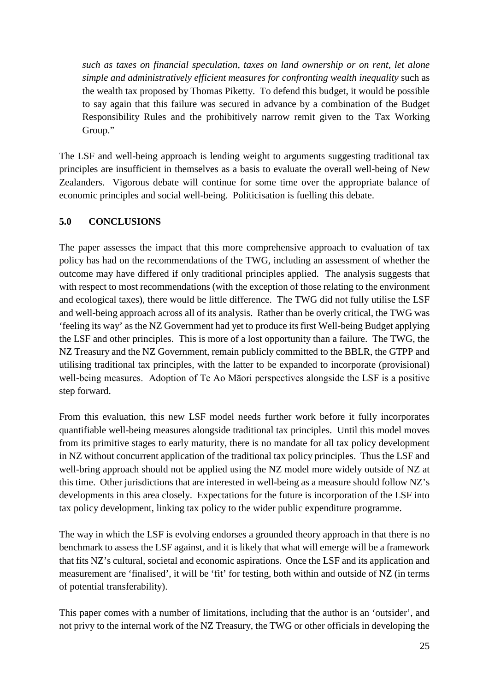*such as taxes on financial speculation, taxes on land ownership or on rent, let alone simple and administratively efficient measures for confronting wealth inequality* such as the wealth tax proposed by Thomas Piketty. To defend this budget, it would be possible to say again that this failure was secured in advance by a combination of the Budget Responsibility Rules and the prohibitively narrow remit given to the Tax Working Group."

The LSF and well-being approach is lending weight to arguments suggesting traditional tax principles are insufficient in themselves as a basis to evaluate the overall well-being of New Zealanders. Vigorous debate will continue for some time over the appropriate balance of economic principles and social well-being. Politicisation is fuelling this debate.

## **5.0 CONCLUSIONS**

The paper assesses the impact that this more comprehensive approach to evaluation of tax policy has had on the recommendations of the TWG, including an assessment of whether the outcome may have differed if only traditional principles applied. The analysis suggests that with respect to most recommendations (with the exception of those relating to the environment and ecological taxes), there would be little difference. The TWG did not fully utilise the LSF and well-being approach across all of its analysis. Rather than be overly critical, the TWG was 'feeling its way' as the NZ Government had yet to produce its first Well-being Budget applying the LSF and other principles. This is more of a lost opportunity than a failure. The TWG, the NZ Treasury and the NZ Government, remain publicly committed to the BBLR, the GTPP and utilising traditional tax principles, with the latter to be expanded to incorporate (provisional) well-being measures. Adoption of Te Ao Māori perspectives alongside the LSF is a positive step forward.

From this evaluation, this new LSF model needs further work before it fully incorporates quantifiable well-being measures alongside traditional tax principles. Until this model moves from its primitive stages to early maturity, there is no mandate for all tax policy development in NZ without concurrent application of the traditional tax policy principles. Thus the LSF and well-bring approach should not be applied using the NZ model more widely outside of NZ at this time. Other jurisdictions that are interested in well-being as a measure should follow NZ's developments in this area closely. Expectations for the future is incorporation of the LSF into tax policy development, linking tax policy to the wider public expenditure programme.

The way in which the LSF is evolving endorses a grounded theory approach in that there is no benchmark to assess the LSF against, and it is likely that what will emerge will be a framework that fits NZ's cultural, societal and economic aspirations. Once the LSF and its application and measurement are 'finalised', it will be 'fit' for testing, both within and outside of NZ (in terms of potential transferability).

This paper comes with a number of limitations, including that the author is an 'outsider', and not privy to the internal work of the NZ Treasury, the TWG or other officials in developing the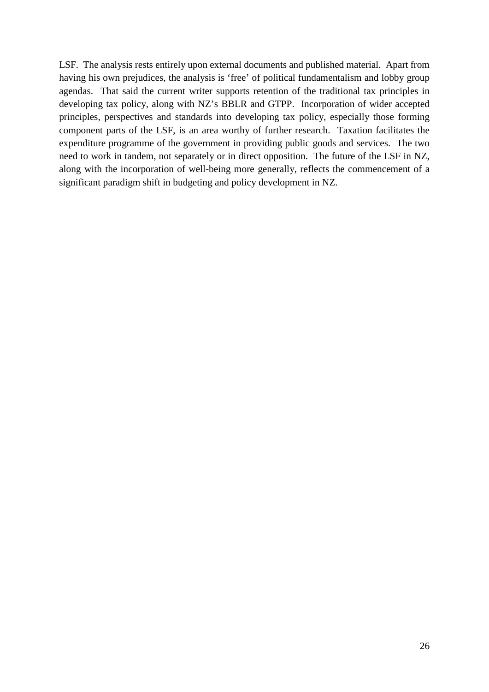LSF. The analysis rests entirely upon external documents and published material. Apart from having his own prejudices, the analysis is 'free' of political fundamentalism and lobby group agendas. That said the current writer supports retention of the traditional tax principles in developing tax policy, along with NZ's BBLR and GTPP. Incorporation of wider accepted principles, perspectives and standards into developing tax policy, especially those forming component parts of the LSF, is an area worthy of further research. Taxation facilitates the expenditure programme of the government in providing public goods and services. The two need to work in tandem, not separately or in direct opposition. The future of the LSF in NZ, along with the incorporation of well-being more generally, reflects the commencement of a significant paradigm shift in budgeting and policy development in NZ.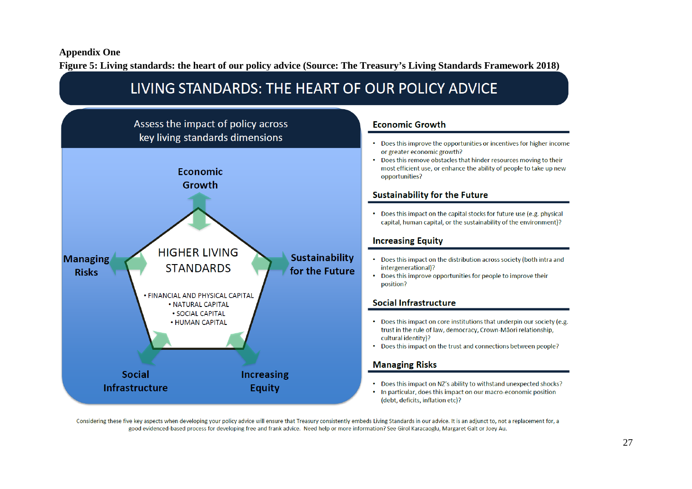#### **Appendix One**

**Figure 5: Living standards: the heart of our policy advice (Source: The Treasury's Living Standards Framework 2018)**



Considering these five key aspects when developing your policy advice will ensure that Treasury consistently embeds Living Standards in our advice. It is an adjunct to, not a replacement for, a good evidenced-based process for developing free and frank advice. Need help or more information? See Girol Karacaoglu, Margaret Galt or Joey Au.